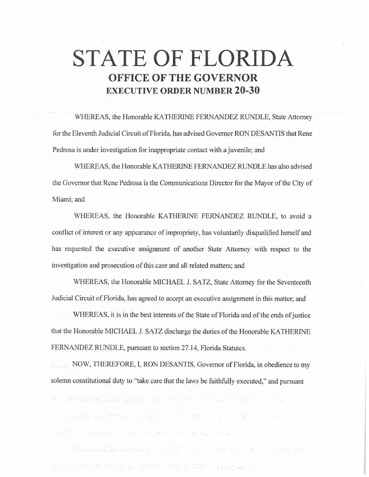# **STATE OF FLORIDA OFFICE OF THE GOVERNOR EXECUTIVE ORDER NUMBER 20-30**

WHEREAS, the Honorable KATHERINE FERNANDEZ RUNDLE, State Attorney for the Eleventh Judicial Circuit of Florida, has advised Governor RON DESANTIS that Rene Pedrosa is under investigation for inappropriate contact with a juvenile; and

WHEREAS, the Honorable KATHERINE FERNANDEZ RUNDLE has also advised the Governor that Rene Pedrosa is the Communications Director for the Mayor of the City of Miami; and

WHEREAS, the Honorable KATHERINE FERNANDEZ RUNDLE, to avoid a conflict of jnterest or any appearance of impropriety, has voluntarily disqualified herself and has requested the executive assignment of another State Attorney with respect to the investigation and prosecution of this case and all related matters; and

WHEREAS, the Honorable MICHAEL J. SATZ, State Attorney for the Seventeenth Judicial Circuit of Florida, has agreed to accept an executive assignment in this matter; and

WHEREAS, it is in the best interests of the State of Florida and of the ends of justice that the Honorable MICHAEL J. SATZ discharge the duties of the Honorable KATHERINE FERNANDEZ RUNDLE, pursuant to section 27.14, Florida Statutes.

NOW, THEREFORE, I, RON DESANTIS, Governor of Florida, in obedience to my solemn constitutional duty to "take care that the laws be faithfully executed," and pursuant

ma the official to be seen any experimental and the second state and the second second second second second second

sta saakkanaak, maa kandista ja kalendari ja maan kandista ja kandista ja kandista ja kandista kandista ja kan

the Point of Seat of Containing the of the second containing of the problem of a contact of the contact of the

and the street and street in the figure of the street in the street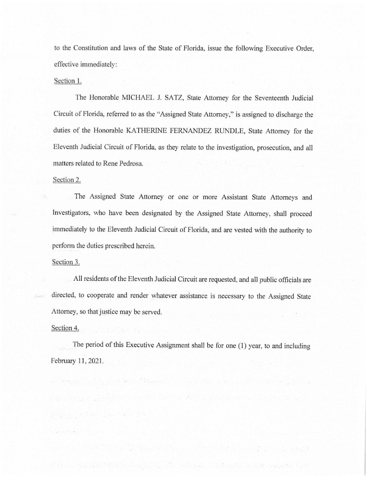to the Constitution and laws of the State of Florida, issue the following Executive Order, effective immediately:

#### Section 1.

The Honorable MICHAEL J. SATZ, State Attorney for the Seventeenth Judicial Circuit of Florida, referred to as the "Assigned State Attorney," is assigned to discharge the duties of the Honorable KATHERINE FERNANDEZ RUNDLE, State Attorney for the Eleventh Judicial Circuit of Florida, as they relate to the investigation, prosecution, and all matters related to Rene Pedrosa.

### Section 2.

The Assigned State Attorney or one or more Assistant State Attorneys and Investigators, who have been designated by the Assigned State Attorney, shall proceed immediately to the Eleventh Judicial Circuit of Florida, and are vested with the authority to perform the duties prescribed herein.

#### Section 3.

All residents of the Eleventh Judicial Circuit are requested, and all public officials are directed, to cooperate and render whatever assistance is necessary to the Assigned State Attorney, so that justice may be served.

## Section 4.

经国际公司 医中心性 医心室

The period of this Executive Assignment shall be for one (1) year, to and including February 11, 2021.

ment was applied to the country of the company of the country of the company of the company of the company of

Material and a strip and sales products of the continuation of the sales and the first

ing a bag, a ga faith a south for any factor and a south all bring and the